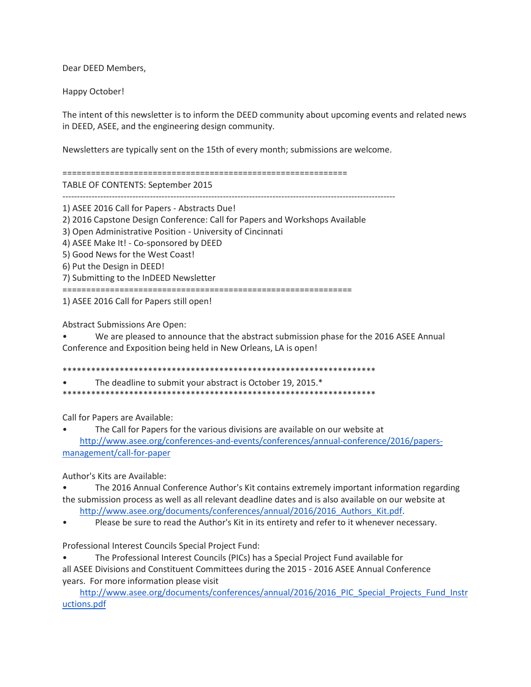Dear DEED Members,

Happy October!

The intent of this newsletter is to inform the DEED community about upcoming events and related news in DEED, ASEE, and the engineering design community.

Newsletters are typically sent on the 15th of every month; submissions are welcome.

============================================================

TABLE OF CONTENTS: September 2015

------------------------------------------------------------------------------------------------------------------

1) ASEE 2016 Call for Papers - Abstracts Due!

2) 2016 Capstone Design Conference: Call for Papers and Workshops Available

3) Open Administrative Position - University of Cincinnati

4) ASEE Make It! - Co-sponsored by DEED

5) Good News for the West Coast!

6) Put the Design in DEED!

7) Submitting to the InDEED Newsletter

=============================================================

1) ASEE 2016 Call for Papers still open!

Abstract Submissions Are Open:

• We are pleased to announce that the abstract submission phase for the 2016 ASEE Annual Conference and Exposition being held in New Orleans, LA is open!

\*\*\*\*\*\*\*\*\*\*\*\*\*\*\*\*\*\*\*\*\*\*\*\*\*\*\*\*\*\*\*\*\*\*\*\*\*\*\*\*\*\*\*\*\*\*\*\*\*\*\*\*\*\*\*\*\*\*\*\*\*\*\*\*\*\* The deadline to submit your abstract is October 19, 2015.\*

\*\*\*\*\*\*\*\*\*\*\*\*\*\*\*\*\*\*\*\*\*\*\*\*\*\*\*\*\*\*\*\*\*\*\*\*\*\*\*\*\*\*\*\*\*\*\*\*\*\*\*\*\*\*\*\*\*\*\*\*\*\*\*\*\*\*

Call for Papers are Available:

• The Call for Papers for the various divisions are available on our website at [http://www.asee.org/conferences-and-events/conferences/annual-conference/2016/papers](http://www.asee.org/conferences-and-events/conferences/annual-conference/2016/papers-management/call-for-paper)[management/call-for-paper](http://www.asee.org/conferences-and-events/conferences/annual-conference/2016/papers-management/call-for-paper)

Author's Kits are Available:

• The 2016 Annual Conference Author's Kit contains extremely important information regarding the submission process as well as all relevant deadline dates and is also available on our website at

[http://www.asee.org/documents/conferences/annual/2016/2016\\_Authors\\_Kit.pdf.](http://www.asee.org/documents/conferences/annual/2016/2016_Authors_Kit.pdf)

Please be sure to read the Author's Kit in its entirety and refer to it whenever necessary.

Professional Interest Councils Special Project Fund:

• The Professional Interest Councils (PICs) has a Special Project Fund available for all ASEE Divisions and Constituent Committees during the 2015 - 2016 ASEE Annual Conference years. For more information please visit

[http://www.asee.org/documents/conferences/annual/2016/2016\\_PIC\\_Special\\_Projects\\_Fund\\_Instr](http://www.asee.org/documents/conferences/annual/2016/2016_PIC_Special_Projects_Fund_Instructions.pdf) [uctions.pdf](http://www.asee.org/documents/conferences/annual/2016/2016_PIC_Special_Projects_Fund_Instructions.pdf)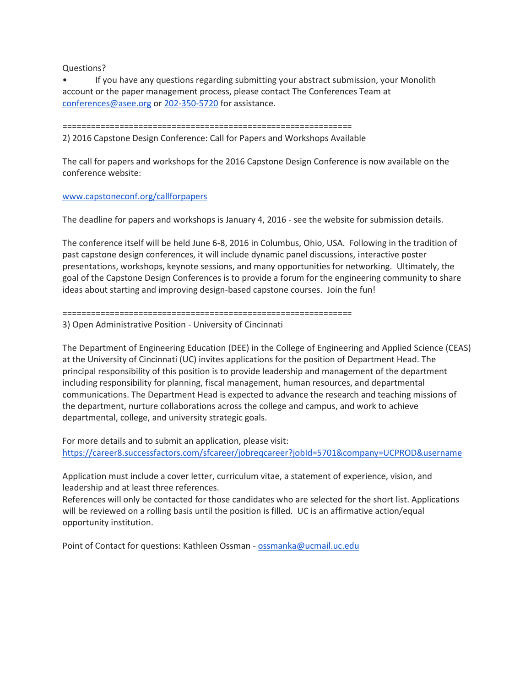Questions?

• If you have any questions regarding submitting your abstract submission, your Monolith account or the paper management process, please contact The Conferences Team at [conferences@asee.org](mailto:conferences@asee.org) or [202-350-5720](tel:202-350-5720) for assistance.

=============================================================

2) 2016 Capstone Design Conference: Call for Papers and Workshops Available

The call for papers and workshops for the 2016 Capstone Design Conference is now available on the conference website:

## [www.capstoneconf.org/callforpapers](http://www.capstoneconf.org/callforpapers)

The deadline for papers and workshops is January 4, 2016 - see the website for submission details.

The conference itself will be held June 6-8, 2016 in Columbus, Ohio, USA. Following in the tradition of past capstone design conferences, it will include dynamic panel discussions, interactive poster presentations, workshops, keynote sessions, and many opportunities for networking. Ultimately, the goal of the Capstone Design Conferences is to provide a forum for the engineering community to share ideas about starting and improving design-based capstone courses. Join the fun!

## =============================================================

3) Open Administrative Position - University of Cincinnati

The Department of Engineering Education (DEE) in the College of Engineering and Applied Science (CEAS) at the University of Cincinnati (UC) invites applications for the position of Department Head. The principal responsibility of this position is to provide leadership and management of the department including responsibility for planning, fiscal management, human resources, and departmental communications. The Department Head is expected to advance the research and teaching missions of the department, nurture collaborations across the college and campus, and work to achieve departmental, college, and university strategic goals.

For more details and to submit an application, please visit: <https://career8.successfactors.com/sfcareer/jobreqcareer?jobId=5701&company=UCPROD&username>

Application must include a cover letter, curriculum vitae, a statement of experience, vision, and leadership and at least three references.

References will only be contacted for those candidates who are selected for the short list. Applications will be reviewed on a rolling basis until the position is filled. UC is an affirmative action/equal opportunity institution.

Point of Contact for questions: Kathleen Ossman - [ossmanka@ucmail.uc.edu](mailto:ossmanka@ucmail.uc.edu)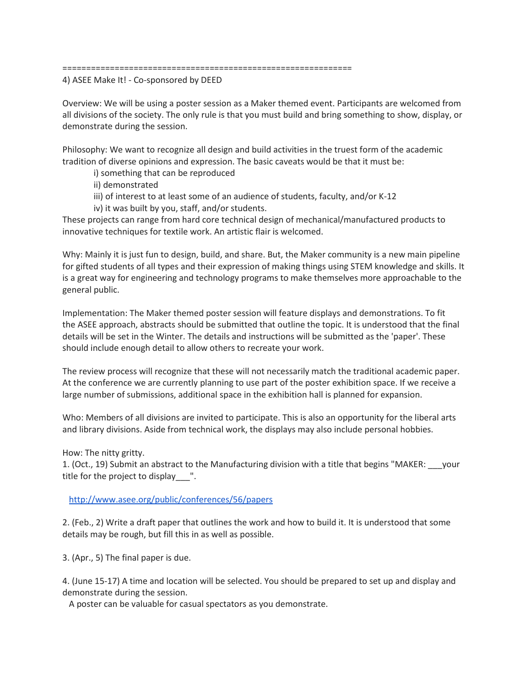## =============================================================

4) ASEE Make It! - Co-sponsored by DEED

Overview: We will be using a poster session as a Maker themed event. Participants are welcomed from all divisions of the society. The only rule is that you must build and bring something to show, display, or demonstrate during the session.

Philosophy: We want to recognize all design and build activities in the truest form of the academic tradition of diverse opinions and expression. The basic caveats would be that it must be:

i) something that can be reproduced

ii) demonstrated

iii) of interest to at least some of an audience of students, faculty, and/or K-12

iv) it was built by you, staff, and/or students.

These projects can range from hard core technical design of mechanical/manufactured products to innovative techniques for textile work. An artistic flair is welcomed.

Why: Mainly it is just fun to design, build, and share. But, the Maker community is a new main pipeline for gifted students of all types and their expression of making things using STEM knowledge and skills. It is a great way for engineering and technology programs to make themselves more approachable to the general public.

Implementation: The Maker themed poster session will feature displays and demonstrations. To fit the ASEE approach, abstracts should be submitted that outline the topic. It is understood that the final details will be set in the Winter. The details and instructions will be submitted as the 'paper'. These should include enough detail to allow others to recreate your work.

The review process will recognize that these will not necessarily match the traditional academic paper. At the conference we are currently planning to use part of the poster exhibition space. If we receive a large number of submissions, additional space in the exhibition hall is planned for expansion.

Who: Members of all divisions are invited to participate. This is also an opportunity for the liberal arts and library divisions. Aside from technical work, the displays may also include personal hobbies.

How: The nitty gritty.

1. (Oct., 19) Submit an abstract to the Manufacturing division with a title that begins "MAKER: \_\_\_your title for the project to display ".

<http://www.asee.org/public/conferences/56/papers>

2. (Feb., 2) Write a draft paper that outlines the work and how to build it. It is understood that some details may be rough, but fill this in as well as possible.

3. (Apr., 5) The final paper is due.

4. (June 15-17) A time and location will be selected. You should be prepared to set up and display and demonstrate during the session.

A poster can be valuable for casual spectators as you demonstrate.